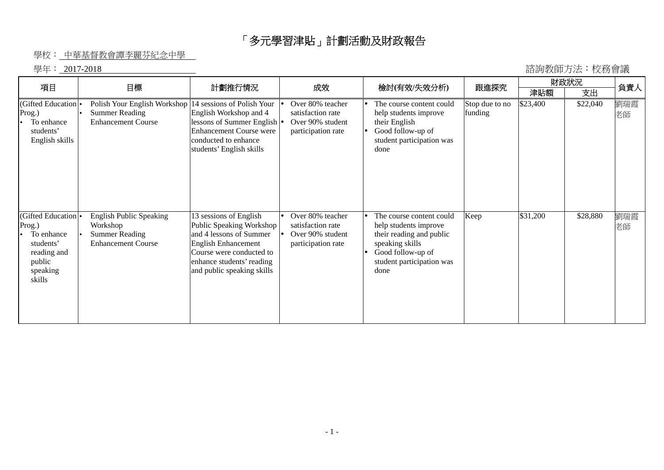## 「多元學習津貼」計劃活動及財政報告

## 學校: 中華基督教會譚李麗芬紀念中學

學年: 2017-2018

| 諮詢教師方法:校務會議 |  |  |
|-------------|--|--|
|-------------|--|--|

| 項目                                                                                                                 | 目標                                                                                               | 計劃推行情況                                                                                                                                                                                      | 成效                                                                              | 檢討(有效/失效分析)                                                                                                                                                | 跟進探究                      | 財政狀況     |          | 負責人       |
|--------------------------------------------------------------------------------------------------------------------|--------------------------------------------------------------------------------------------------|---------------------------------------------------------------------------------------------------------------------------------------------------------------------------------------------|---------------------------------------------------------------------------------|------------------------------------------------------------------------------------------------------------------------------------------------------------|---------------------------|----------|----------|-----------|
|                                                                                                                    |                                                                                                  |                                                                                                                                                                                             |                                                                                 |                                                                                                                                                            |                           | 津貼額      | 支出       |           |
| (Gifted Education <sup>1</sup> •<br>Prog.)<br>To enhance<br>students'<br>English skills                            | Polish Your English Workshop<br><b>Summer Reading</b><br><b>Enhancement Course</b>               | 14 sessions of Polish Your<br>English Workshop and 4<br>lessons of Summer English   •<br><b>Enhancement Course were</b><br>conducted to enhance<br>students' English skills                 | Over 80% teacher<br>satisfaction rate<br>Over 90% student<br>participation rate | The course content could<br>help students improve<br>their English<br>Good follow-up of<br>student participation was<br>done                               | Stop due to no<br>funding | \$23,400 | \$22,040 | 劉瑞霞<br>老師 |
| (Gifted Education <sup>o</sup><br>Prog.)<br>To enhance<br>students'<br>reading and<br>public<br>speaking<br>skills | <b>English Public Speaking</b><br>Workshop<br><b>Summer Reading</b><br><b>Enhancement Course</b> | 13 sessions of English<br>Public Speaking Workshop<br>and 4 lessons of Summer<br>English Enhancement<br>Course were conducted to<br>enhance students' reading<br>and public speaking skills | Over 80% teacher<br>satisfaction rate<br>Over 90% student<br>participation rate | The course content could<br>help students improve<br>their reading and public<br>speaking skills<br>Good follow-up of<br>student participation was<br>done | Keep                      | \$31,200 | \$28,880 | 劉瑞霞<br>老師 |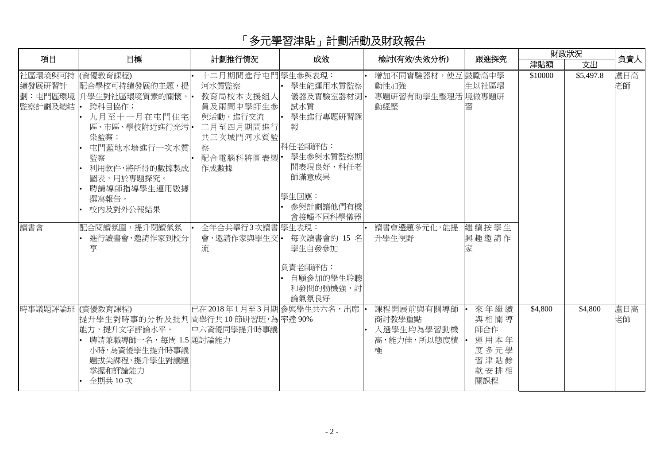## 「多元學習津貼」計劃活動及財政報告

| 項目                                              | 目標                                                                                                                                                                                                          | 計劃推行情況                                                                                                                                   | 成效                                                                                                                                | 檢討(有效/失效分析)                                                          | 跟進探究                                               | 財政狀況    |           | 負責人       |
|-------------------------------------------------|-------------------------------------------------------------------------------------------------------------------------------------------------------------------------------------------------------------|------------------------------------------------------------------------------------------------------------------------------------------|-----------------------------------------------------------------------------------------------------------------------------------|----------------------------------------------------------------------|----------------------------------------------------|---------|-----------|-----------|
|                                                 |                                                                                                                                                                                                             |                                                                                                                                          |                                                                                                                                   |                                                                      |                                                    | 津貼額     | 支出        |           |
| 社區環境與可持 (資優教育課程)<br>續發展研習計<br>監察計劃及總結  •<br>讀書會 | 配合學校可持續發展的主題,提 <br>劃:屯門區環境 升學生對社區環境質素的關懷。•<br>跨科目協作;<br>九月至十一月在屯門住宅<br>區、市區、學校附近進行光污 •<br>染監察;<br>屯門藍地水塘進行一次水質<br>監察<br>利用軟件,將所得的數據製成<br>圖表,用於專題探究。<br>聘請導師指導學生運用數據<br>撰寫報告。<br>校内及對外公報結果<br> 配合閱讀氛圍,提升閱讀氣氛 | 十二月期間進行屯門 學生參與表現:<br>河水質監察<br>教育局校本支援組人<br>員及兩間中學師生參<br>與活動,進行交流<br>二月至四月期間進行<br>共三次城門河水質監<br>察<br>配合電腦科將圖表製·<br>作成數據<br>全年合共舉行3次讀書學生表現: | 學生能運用水質監察<br>儀器及實驗室器材測•<br>試水質<br>學生進行專題研習匯<br>報<br>科任老師評估:<br>學生參與水質監察期<br>間表現良好,科任老<br>師滿意成果<br>學生回應:<br>參與計劃讓他們有機<br>會接觸不同科學儀器 | 增加不同實驗器材,使互 鼓勵高中學<br>動性加強<br>專題研習有助學生整理活 境做專題研<br>動經歷<br>讀書會選題多元化,能提 | 生以社區環<br>習<br>繼續按學生                                | \$10000 | \$5,497.8 | 盧日高<br>老師 |
| 時事議題評論班 (資優教育課程)                                | 進行讀書會,邀請作家到校分<br>享                                                                                                                                                                                          | 會,邀請作家與學生交 •<br>流<br>已在2018年1月至3月期参與學生共六名,出席                                                                                             | 每次讀書會約 15 名<br>學生自發參加<br>負責老師評估:<br>自願參加的學生聆聽<br>和發問的動機強,討<br>論氣氛良好                                                               | 升學生視野<br>課程開展前與有關導師                                                  | 興趣邀請作<br>家<br>來年繼續                                 | \$4,800 | \$4,800   | 盧日高       |
|                                                 | 提升學生對時事的分析及批判間舉行共10節研習班,為率達90%<br> 能力,提升文字評論水平。<br>聘請兼職導師一名,每周 1.5 題討論能力<br>小時,為資優學生提升時事議<br>題拔尖課程,提升學生對議題<br>掌握和評論能力<br>全期共10次                                                                             | 中六資優同學提升時事議                                                                                                                              |                                                                                                                                   | 商討教學重點<br>入選學生均為學習動機<br>高,能力佳,所以態度積<br>極                             | 與相關導<br>師合作<br>運用本年<br>度多元學<br>習津貼餘<br>款安排相<br>關課程 |         |           | 老師        |